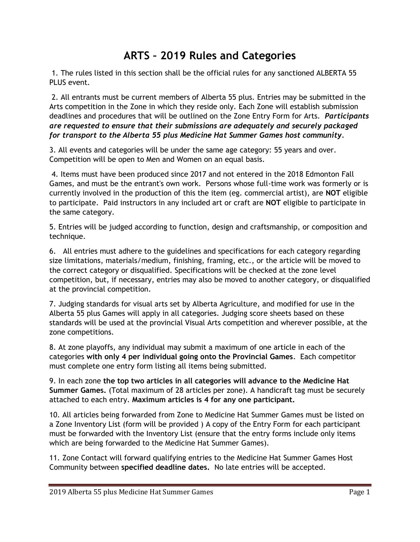## **ARTS – 2019 Rules and Categories**

1. The rules listed in this section shall be the official rules for any sanctioned ALBERTA 55 PLUS event.

2. All entrants must be current members of Alberta 55 plus. Entries may be submitted in the Arts competition in the Zone in which they reside only. Each Zone will establish submission deadlines and procedures that will be outlined on the Zone Entry Form for Arts. *Participants are requested to ensure that their submissions are adequately and securely packaged for transport to the Alberta 55 plus Medicine Hat Summer Games host community.*

3. All events and categories will be under the same age category: 55 years and over. Competition will be open to Men and Women on an equal basis.

4. Items must have been produced since 2017 and not entered in the 2018 Edmonton Fall Games, and must be the entrant's own work. Persons whose full-time work was formerly or is currently involved in the production of this the item (eg. commercial artist), are **NOT** eligible to participate. Paid instructors in any included art or craft are **NOT** eligible to participate in the same category.

5. Entries will be judged according to function, design and craftsmanship, or composition and technique.

6. All entries must adhere to the guidelines and specifications for each category regarding size limitations, materials/medium, finishing, framing, etc., or the article will be moved to the correct category or disqualified. Specifications will be checked at the zone level competition, but, if necessary, entries may also be moved to another category, or disqualified at the provincial competition.

7. Judging standards for visual arts set by Alberta Agriculture, and modified for use in the Alberta 55 plus Games will apply in all categories. Judging score sheets based on these standards will be used at the provincial Visual Arts competition and wherever possible, at the zone competitions.

8. At zone playoffs, any individual may submit a maximum of one article in each of the categories **with only 4 per individual going onto the Provincial Games**. Each competitor must complete one entry form listing all items being submitted.

9. In each zone **the top two articles in all categories will advance to the Medicine Hat Summer Games.** (Total maximum of 28 articles per zone). A handicraft tag must be securely attached to each entry. **Maximum articles is 4 for any one participant.**

10. All articles being forwarded from Zone to Medicine Hat Summer Games must be listed on a Zone Inventory List (form will be provided ) A copy of the Entry Form for each participant must be forwarded with the Inventory List (ensure that the entry forms include only items which are being forwarded to the Medicine Hat Summer Games).

11. Zone Contact will forward qualifying entries to the Medicine Hat Summer Games Host Community between **specified deadline dates.** No late entries will be accepted.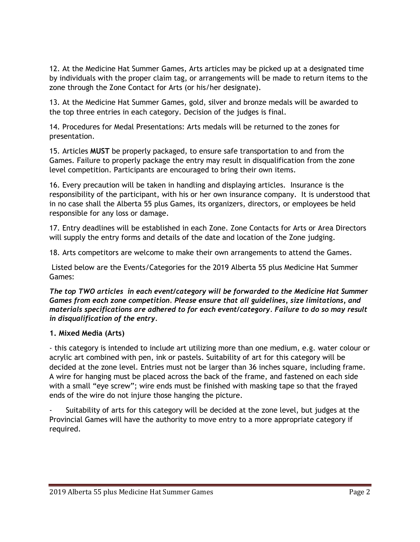12. At the Medicine Hat Summer Games, Arts articles may be picked up at a designated time by individuals with the proper claim tag, or arrangements will be made to return items to the zone through the Zone Contact for Arts (or his/her designate).

13. At the Medicine Hat Summer Games, gold, silver and bronze medals will be awarded to the top three entries in each category. Decision of the judges is final.

14. Procedures for Medal Presentations: Arts medals will be returned to the zones for presentation.

15. Articles **MUST** be properly packaged, to ensure safe transportation to and from the Games. Failure to properly package the entry may result in disqualification from the zone level competition. Participants are encouraged to bring their own items.

16. Every precaution will be taken in handling and displaying articles. Insurance is the responsibility of the participant, with his or her own insurance company. It is understood that in no case shall the Alberta 55 plus Games, its organizers, directors, or employees be held responsible for any loss or damage.

17. Entry deadlines will be established in each Zone. Zone Contacts for Arts or Area Directors will supply the entry forms and details of the date and location of the Zone judging.

18. Arts competitors are welcome to make their own arrangements to attend the Games.

Listed below are the Events/Categories for the 2019 Alberta 55 plus Medicine Hat Summer Games:

*The top TWO articles in each event/category will be forwarded to the Medicine Hat Summer Games from each zone competition. Please ensure that all guidelines, size limitations, and materials specifications are adhered to for each event/category. Failure to do so may result in disqualification of the entry.* 

## **1. Mixed Media (Arts)**

- this category is intended to include art utilizing more than one medium, e.g. water colour or acrylic art combined with pen, ink or pastels. Suitability of art for this category will be decided at the zone level. Entries must not be larger than 36 inches square, including frame. A wire for hanging must be placed across the back of the frame, and fastened on each side with a small "eye screw"; wire ends must be finished with masking tape so that the frayed ends of the wire do not injure those hanging the picture.

Suitability of arts for this category will be decided at the zone level, but judges at the Provincial Games will have the authority to move entry to a more appropriate category if required.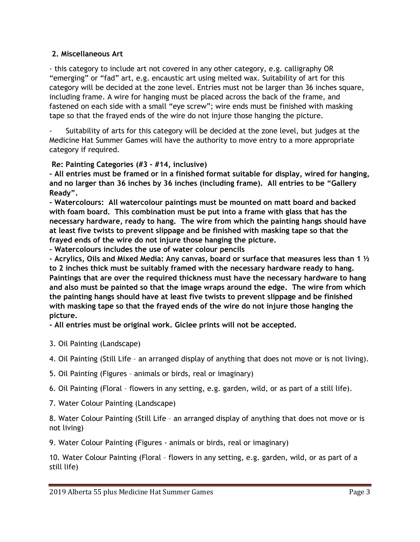## **2. Miscellaneous Art**

- this category to include art not covered in any other category, e.g. calligraphy OR "emerging" or "fad" art, e.g. encaustic art using melted wax. Suitability of art for this category will be decided at the zone level. Entries must not be larger than 36 inches square, including frame. A wire for hanging must be placed across the back of the frame, and fastened on each side with a small "eye screw"; wire ends must be finished with masking tape so that the frayed ends of the wire do not injure those hanging the picture.

Suitability of arts for this category will be decided at the zone level, but judges at the Medicine Hat Summer Games will have the authority to move entry to a more appropriate category if required.

## **Re: Painting Categories (#3 - #14, inclusive)**

**- All entries must be framed or in a finished format suitable for display, wired for hanging, and no larger than 36 inches by 36 inches (including frame). All entries to be "Gallery Ready".** 

**- Watercolours: All watercolour paintings must be mounted on matt board and backed with foam board. This combination must be put into a frame with glass that has the necessary hardware, ready to hang. The wire from which the painting hangs should have at least five twists to prevent slippage and be finished with masking tape so that the frayed ends of the wire do not injure those hanging the picture.** 

**- Watercolours includes the use of water colour pencils** 

**- Acrylics, Oils and Mixed Media: Any canvas, board or surface that measures less than 1 ½ to 2 inches thick must be suitably framed with the necessary hardware ready to hang. Paintings that are over the required thickness must have the necessary hardware to hang and also must be painted so that the image wraps around the edge. The wire from which the painting hangs should have at least five twists to prevent slippage and be finished with masking tape so that the frayed ends of the wire do not injure those hanging the picture.** 

**- All entries must be original work. Giclee prints will not be accepted.** 

3. Oil Painting (Landscape)

4. Oil Painting (Still Life – an arranged display of anything that does not move or is not living).

5. Oil Painting (Figures – animals or birds, real or imaginary)

6. Oil Painting (Floral – flowers in any setting, e.g. garden, wild, or as part of a still life).

7. Water Colour Painting (Landscape)

8. Water Colour Painting (Still Life – an arranged display of anything that does not move or is not living)

9. Water Colour Painting (Figures - animals or birds, real or imaginary)

10. Water Colour Painting (Floral – flowers in any setting, e.g. garden, wild, or as part of a still life)